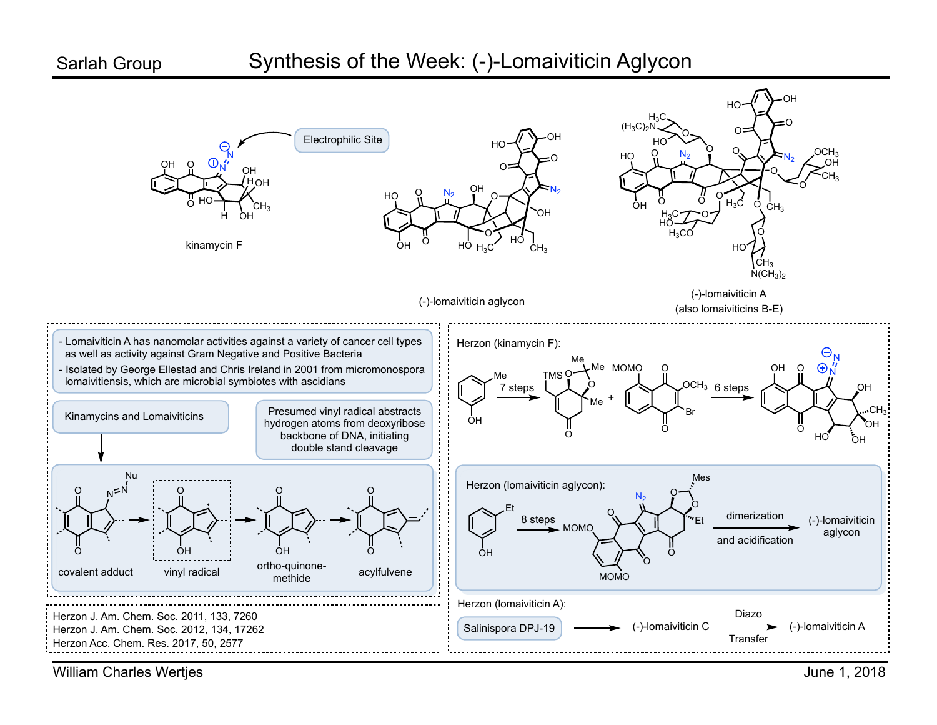## Synthesis of the Week: (-)-Lomaiviticin Aglycon



William Charles Wertjes